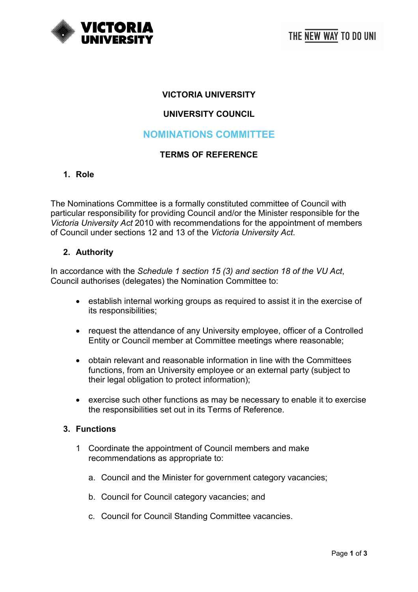

### **VICTORIA UNIVERSITY**

## **UNIVERSITY COUNCIL**

## **NOMINATIONS COMMITTEE**

#### **TERMS OF REFERENCE**

#### **1. Role**

The Nominations Committee is a formally constituted committee of Council with particular responsibility for providing Council and/or the Minister responsible for the *Victoria University Act* 2010 with recommendations for the appointment of members of Council under sections 12 and 13 of the *Victoria University Act*.

#### **2. Authority**

In accordance with the *Schedule 1 section 15 (3) and section 18 of the VU Act*, Council authorises (delegates) the Nomination Committee to:

- establish internal working groups as required to assist it in the exercise of its responsibilities;
- request the attendance of any University employee, officer of a Controlled Entity or Council member at Committee meetings where reasonable;
- obtain relevant and reasonable information in line with the Committees functions, from an University employee or an external party (subject to their legal obligation to protect information);
- exercise such other functions as may be necessary to enable it to exercise the responsibilities set out in its Terms of Reference.

#### **3. Functions**

- 1 Coordinate the appointment of Council members and make recommendations as appropriate to:
	- a. Council and the Minister for government category vacancies;
	- b. Council for Council category vacancies; and
	- c. Council for Council Standing Committee vacancies.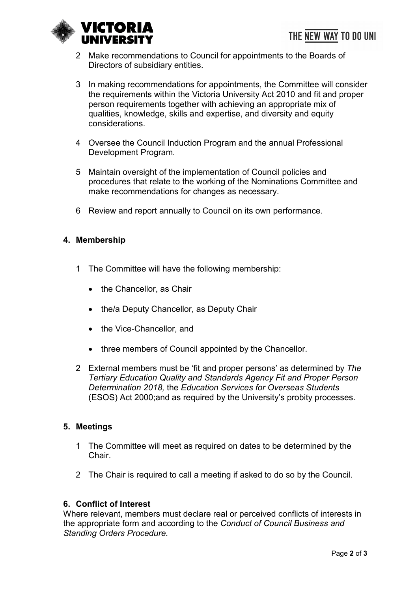

- 2 Make recommendations to Council for appointments to the Boards of Directors of subsidiary entities.
- 3 In making recommendations for appointments, the Committee will consider the requirements within the Victoria University Act 2010 and fit and proper person requirements together with achieving an appropriate mix of qualities, knowledge, skills and expertise, and diversity and equity considerations.
- 4 Oversee the Council Induction Program and the annual Professional Development Program*.*
- 5 Maintain oversight of the implementation of Council policies and procedures that relate to the working of the Nominations Committee and make recommendations for changes as necessary.
- 6 Review and report annually to Council on its own performance.

## **4. Membership**

- 1 The Committee will have the following membership:
	- the Chancellor, as Chair
	- the/a Deputy Chancellor, as Deputy Chair
	- the Vice-Chancellor, and
	- three members of Council appointed by the Chancellor.
- 2 External members must be 'fit and proper persons' as determined by *The Tertiary Education Quality and Standards Agency Fit and Proper Person Determination 2018,* the *Education Services for Overseas Students*  (ESOS) Act 2000;and as required by the University's probity processes.

### **5. Meetings**

- 1 The Committee will meet as required on dates to be determined by the Chair.
- 2 The Chair is required to call a meeting if asked to do so by the Council.

### **6. Conflict of Interest**

Where relevant, members must declare real or perceived conflicts of interests in the appropriate form and according to the *Conduct of Council Business and Standing Orders Procedure.*